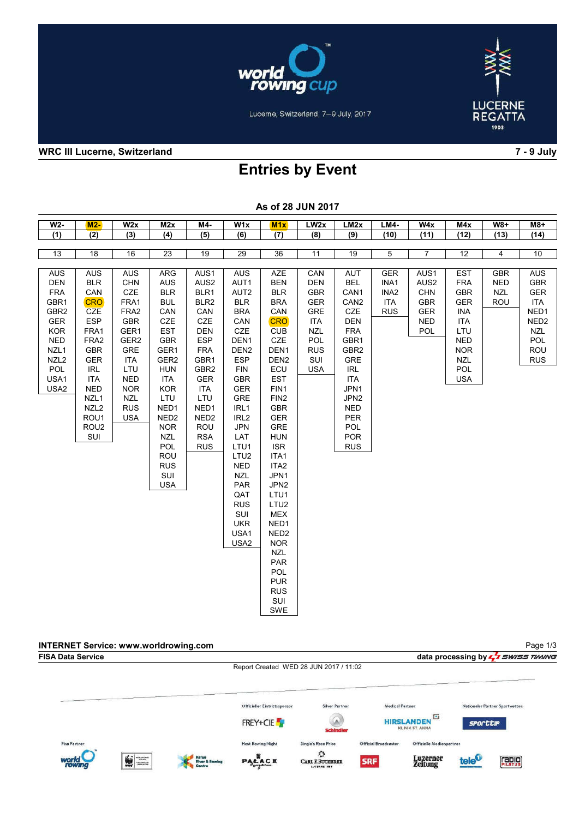



Lucerne, Switzerland, 7-9 July, 2017

### WRC III Lucerne, Switzerland 7 - 9 July

# Entries by Event

| AS UI ZO JUN ZU IT                                                                                                                                              |                                                                                                                                                                                                                  |                                                                                                                                                                        |                                                                                                                                                                                                           |                                                                                                                                                                                                           |                                                                                                                                                                                                                                     |                                                                                                                                                                                                                                   |                                                                                                                            |                                                                                                                                                                                                    |                                                                    |                                                                                         |                                                                                                                                                        |                                               |                                                                                                                            |
|-----------------------------------------------------------------------------------------------------------------------------------------------------------------|------------------------------------------------------------------------------------------------------------------------------------------------------------------------------------------------------------------|------------------------------------------------------------------------------------------------------------------------------------------------------------------------|-----------------------------------------------------------------------------------------------------------------------------------------------------------------------------------------------------------|-----------------------------------------------------------------------------------------------------------------------------------------------------------------------------------------------------------|-------------------------------------------------------------------------------------------------------------------------------------------------------------------------------------------------------------------------------------|-----------------------------------------------------------------------------------------------------------------------------------------------------------------------------------------------------------------------------------|----------------------------------------------------------------------------------------------------------------------------|----------------------------------------------------------------------------------------------------------------------------------------------------------------------------------------------------|--------------------------------------------------------------------|-----------------------------------------------------------------------------------------|--------------------------------------------------------------------------------------------------------------------------------------------------------|-----------------------------------------------|----------------------------------------------------------------------------------------------------------------------------|
| $W2-$                                                                                                                                                           | $M2-$                                                                                                                                                                                                            | W2x                                                                                                                                                                    | M2x                                                                                                                                                                                                       | $M4-$                                                                                                                                                                                                     | $\overline{W1x}$                                                                                                                                                                                                                    | M1x                                                                                                                                                                                                                               | LW <sub>2</sub> x                                                                                                          | LM2x                                                                                                                                                                                               | <b>LM4-</b>                                                        | W4x                                                                                     | M4x                                                                                                                                                    | <b>W8+</b>                                    | $M8+$                                                                                                                      |
| (1)                                                                                                                                                             | (2)                                                                                                                                                                                                              | (3)                                                                                                                                                                    | (4)                                                                                                                                                                                                       | (5)                                                                                                                                                                                                       | (6)                                                                                                                                                                                                                                 | (7)                                                                                                                                                                                                                               | (8)                                                                                                                        | (9)                                                                                                                                                                                                | (10)                                                               | (11)                                                                                    | (12)                                                                                                                                                   | (13)                                          | (14)                                                                                                                       |
|                                                                                                                                                                 |                                                                                                                                                                                                                  |                                                                                                                                                                        |                                                                                                                                                                                                           |                                                                                                                                                                                                           |                                                                                                                                                                                                                                     |                                                                                                                                                                                                                                   |                                                                                                                            |                                                                                                                                                                                                    |                                                                    |                                                                                         |                                                                                                                                                        |                                               |                                                                                                                            |
| 13                                                                                                                                                              | 18                                                                                                                                                                                                               | 16                                                                                                                                                                     | 23                                                                                                                                                                                                        | 19                                                                                                                                                                                                        | 29                                                                                                                                                                                                                                  | 36                                                                                                                                                                                                                                | 11                                                                                                                         | 19                                                                                                                                                                                                 | $\sqrt{5}$                                                         | $\overline{7}$                                                                          | 12                                                                                                                                                     | 4                                             | 10                                                                                                                         |
|                                                                                                                                                                 |                                                                                                                                                                                                                  |                                                                                                                                                                        |                                                                                                                                                                                                           |                                                                                                                                                                                                           |                                                                                                                                                                                                                                     |                                                                                                                                                                                                                                   |                                                                                                                            |                                                                                                                                                                                                    |                                                                    |                                                                                         |                                                                                                                                                        |                                               |                                                                                                                            |
| <b>AUS</b><br><b>DEN</b><br><b>FRA</b><br>GBR1<br>GBR <sub>2</sub><br><b>GER</b><br><b>KOR</b><br><b>NED</b><br>NZL1<br>NZL <sub>2</sub><br>POL<br>USA1<br>USA2 | <b>AUS</b><br><b>BLR</b><br>CAN<br><b>CRO</b><br><b>CZE</b><br>ESP<br>FRA1<br>FRA2<br><b>GBR</b><br>GER<br><b>IRL</b><br><b>ITA</b><br><b>NED</b><br>NZL1<br>NZL <sub>2</sub><br>ROU1<br>ROU <sub>2</sub><br>SUI | AUS<br>CHN<br>CZE<br>FRA1<br>FRA2<br>GBR<br>GER1<br>GER <sub>2</sub><br><b>GRE</b><br>ITA<br>LTU<br><b>NED</b><br><b>NOR</b><br><b>NZL</b><br><b>RUS</b><br><b>USA</b> | ARG<br><b>AUS</b><br><b>BLR</b><br><b>BUL</b><br>CAN<br>CZE<br><b>EST</b><br>GBR<br>GER1<br>GER2<br><b>HUN</b><br><b>ITA</b><br><b>KOR</b><br>LTU<br>NED1<br>NED <sub>2</sub><br><b>NOR</b><br><b>NZL</b> | AUS1<br>AUS2<br>BLR1<br>BLR <sub>2</sub><br>CAN<br>CZE<br><b>DEN</b><br><b>ESP</b><br><b>FRA</b><br>GBR1<br>GBR <sub>2</sub><br><b>GER</b><br>ITA<br>LTU<br>NED1<br>NED <sub>2</sub><br>ROU<br><b>RSA</b> | <b>AUS</b><br>AUT1<br>AUT2<br><b>BLR</b><br><b>BRA</b><br>CAN<br>CZE<br>DEN <sub>1</sub><br>DEN <sub>2</sub><br><b>ESP</b><br><b>FIN</b><br><b>GBR</b><br><b>GER</b><br><b>GRE</b><br>IRL1<br>IRL <sub>2</sub><br><b>JPN</b><br>LAT | <b>AZE</b><br><b>BEN</b><br><b>BLR</b><br><b>BRA</b><br>CAN<br><b>CRO</b><br><b>CUB</b><br>CZE<br>DEN <sub>1</sub><br>DEN <sub>2</sub><br>ECU<br>EST<br>FIN1<br>FIN <sub>2</sub><br><b>GBR</b><br><b>GER</b><br>GRE<br><b>HUN</b> | CAN<br><b>DEN</b><br><b>GBR</b><br><b>GER</b><br>GRE<br><b>ITA</b><br><b>NZL</b><br>POL<br><b>RUS</b><br>SUI<br><b>USA</b> | AUT<br><b>BEL</b><br>CAN1<br>CAN <sub>2</sub><br>CZE<br><b>DEN</b><br><b>FRA</b><br>GBR1<br>GBR <sub>2</sub><br>GRE<br>IRL<br>ITA<br>JPN1<br>JPN2<br><b>NED</b><br><b>PER</b><br>POL<br><b>POR</b> | <b>GER</b><br>INA1<br>INA <sub>2</sub><br><b>ITA</b><br><b>RUS</b> | AUS1<br>AUS <sub>2</sub><br><b>CHN</b><br><b>GBR</b><br><b>GER</b><br><b>NED</b><br>POL | <b>EST</b><br><b>FRA</b><br><b>GBR</b><br><b>GER</b><br><b>INA</b><br><b>ITA</b><br>LTU<br><b>NED</b><br><b>NOR</b><br><b>NZL</b><br>POL<br><b>USA</b> | <b>GBR</b><br><b>NED</b><br><b>NZL</b><br>ROU | <b>AUS</b><br><b>GBR</b><br><b>GER</b><br><b>ITA</b><br>NED1<br>NED <sub>2</sub><br><b>NZL</b><br>POL<br>ROU<br><b>RUS</b> |
|                                                                                                                                                                 |                                                                                                                                                                                                                  |                                                                                                                                                                        | POL<br>ROU<br><b>RUS</b><br>SUI<br><b>USA</b>                                                                                                                                                             | <b>RUS</b>                                                                                                                                                                                                | LTU1<br>LTU <sub>2</sub><br><b>NED</b><br><b>NZL</b><br>PAR<br>QAT<br><b>RUS</b><br>SUI<br><b>UKR</b><br>USA1<br>USA2                                                                                                               | <b>ISR</b><br>ITA1<br>ITA <sub>2</sub><br>JPN1<br>JPN2<br>LTU1<br>LTU <sub>2</sub><br><b>MEX</b><br>NED1<br>NED <sub>2</sub><br><b>NOR</b><br><b>NZL</b><br>PAR<br>POL<br><b>PUR</b><br><b>RUS</b><br>SUI<br>SWE                  |                                                                                                                            | <b>RUS</b>                                                                                                                                                                                         |                                                                    |                                                                                         |                                                                                                                                                        |                                               |                                                                                                                            |

#### As of 28 JUN 2017

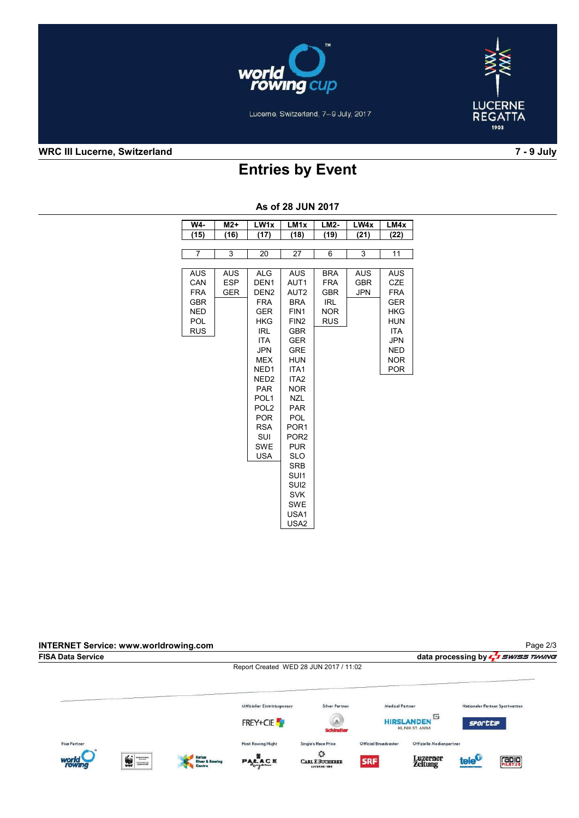



Lucerne, Switzerland, 7-9 July, 2017

### WRC III Lucerne, Switzerland 7 - 9 July

# Entries by Event

| W4-        | $M2+$      | LW <sub>1x</sub> | LM <sub>1x</sub> | <b>LM2-</b> | LW4x       | LM4x       |
|------------|------------|------------------|------------------|-------------|------------|------------|
| (15)       | (16)       | (17)             | (18)             | (19)        | (21)       | (22)       |
|            |            |                  |                  |             |            |            |
| 7          | 3          | 20               | 27               | 6           | 3          | 11         |
|            |            |                  |                  |             |            |            |
| <b>AUS</b> | <b>AUS</b> | <b>ALG</b>       | <b>AUS</b>       | <b>BRA</b>  | AUS        | <b>AUS</b> |
| CAN        | <b>ESP</b> | DEN <sub>1</sub> | AUT1             | <b>FRA</b>  | <b>GBR</b> | CZE        |
| <b>FRA</b> | <b>GER</b> | DEN <sub>2</sub> | AUT <sub>2</sub> | <b>GBR</b>  | <b>JPN</b> | <b>FRA</b> |
| <b>GBR</b> |            | <b>FRA</b>       | <b>BRA</b>       | <b>IRL</b>  |            | <b>GER</b> |
| <b>NED</b> |            | <b>GER</b>       | FIN1             | <b>NOR</b>  |            | <b>HKG</b> |
| POL        |            | <b>HKG</b>       | FIN <sub>2</sub> | <b>RUS</b>  |            | <b>HUN</b> |
| <b>RUS</b> |            | <b>IRL</b>       | <b>GBR</b>       |             |            | <b>ITA</b> |
|            |            | <b>ITA</b>       | <b>GER</b>       |             |            | <b>JPN</b> |
|            |            | <b>JPN</b>       | <b>GRE</b>       |             |            | <b>NED</b> |
|            |            | <b>MEX</b>       | <b>HUN</b>       |             |            | <b>NOR</b> |
|            |            | NED <sub>1</sub> | ITA1             |             |            | <b>POR</b> |
|            |            | NED <sub>2</sub> | ITA <sub>2</sub> |             |            |            |
|            |            | <b>PAR</b>       | <b>NOR</b>       |             |            |            |
|            |            | POL <sub>1</sub> | <b>NZL</b>       |             |            |            |
|            |            | POL <sub>2</sub> | <b>PAR</b>       |             |            |            |
|            |            | <b>POR</b>       | POL              |             |            |            |
|            |            | <b>RSA</b>       | POR <sub>1</sub> |             |            |            |
|            |            | <b>SUI</b>       | POR <sub>2</sub> |             |            |            |
|            |            | <b>SWE</b>       | <b>PUR</b>       |             |            |            |
|            |            | <b>USA</b>       | <b>SLO</b>       |             |            |            |
|            |            |                  | SRB              |             |            |            |
|            |            |                  | SUI1             |             |            |            |
|            |            |                  | SUI <sub>2</sub> |             |            |            |
|            |            |                  | <b>SVK</b>       |             |            |            |
|            |            |                  | <b>SWE</b>       |             |            |            |
|            |            |                  | USA1             |             |            |            |
|            |            |                  | USA <sub>2</sub> |             |            |            |

### As of 28 JUN 2017